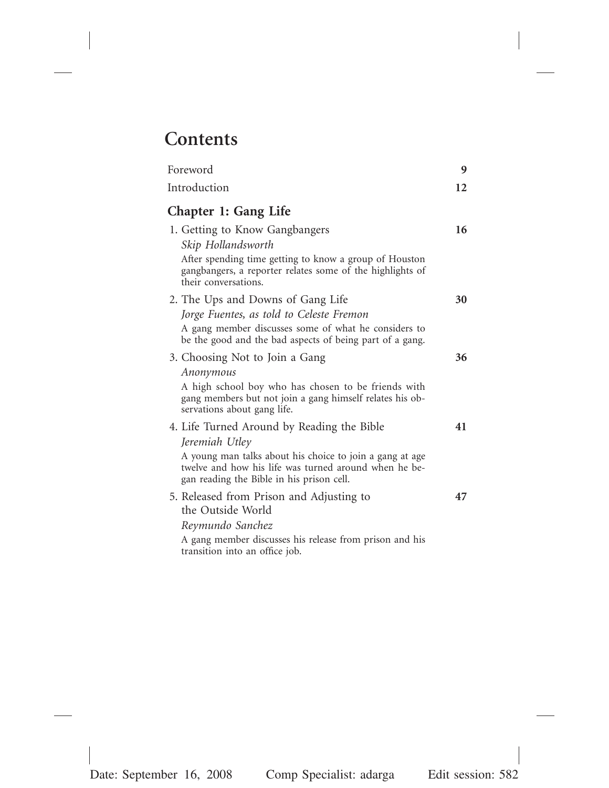## **Contents**

| Foreword                                                                                                                                                                                                                       | 9  |
|--------------------------------------------------------------------------------------------------------------------------------------------------------------------------------------------------------------------------------|----|
| Introduction                                                                                                                                                                                                                   | 12 |
| <b>Chapter 1: Gang Life</b>                                                                                                                                                                                                    |    |
| 1. Getting to Know Gangbangers<br>Skip Hollandsworth<br>After spending time getting to know a group of Houston<br>gangbangers, a reporter relates some of the highlights of<br>their conversations.                            | 16 |
| 2. The Ups and Downs of Gang Life<br>Jorge Fuentes, as told to Celeste Fremon<br>A gang member discusses some of what he considers to<br>be the good and the bad aspects of being part of a gang.                              | 30 |
| 3. Choosing Not to Join a Gang<br>Anonymous<br>A high school boy who has chosen to be friends with<br>gang members but not join a gang himself relates his ob-<br>servations about gang life.                                  | 36 |
| 4. Life Turned Around by Reading the Bible<br>Jeremiah Utley<br>A young man talks about his choice to join a gang at age<br>twelve and how his life was turned around when he be-<br>gan reading the Bible in his prison cell. | 41 |
| 5. Released from Prison and Adjusting to<br>the Outside World<br>Reymundo Sanchez<br>A gang member discusses his release from prison and his<br>transition into an office job.                                                 | 47 |
|                                                                                                                                                                                                                                |    |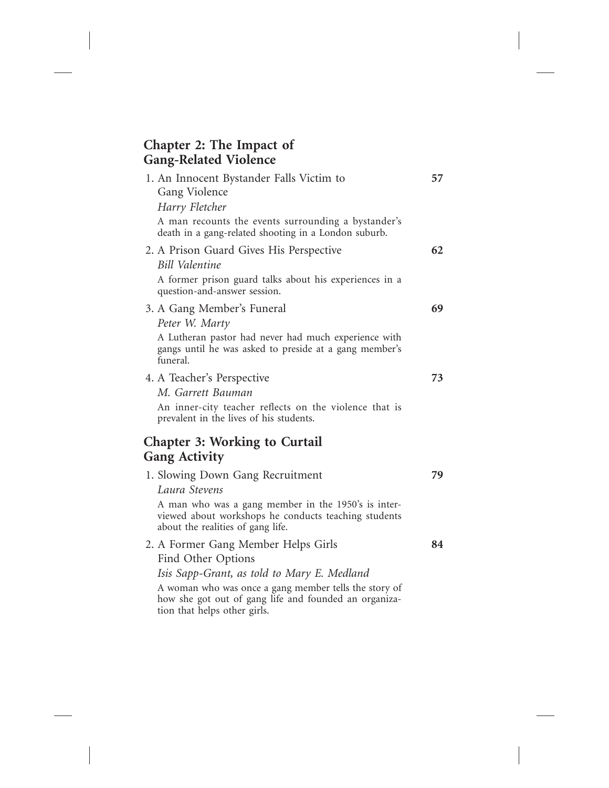## **Chapter 2: The Impact of Gang-Related Violence**

| 1. An Innocent Bystander Falls Victim to<br>Gang Violence<br>Harry Fletcher                                                                                                                                                                                | 57 |
|------------------------------------------------------------------------------------------------------------------------------------------------------------------------------------------------------------------------------------------------------------|----|
| A man recounts the events surrounding a bystander's<br>death in a gang-related shooting in a London suburb.                                                                                                                                                |    |
| 2. A Prison Guard Gives His Perspective<br>Bill Valentine                                                                                                                                                                                                  | 62 |
| A former prison guard talks about his experiences in a<br>question-and-answer session.                                                                                                                                                                     |    |
| 3. A Gang Member's Funeral<br>Peter W. Marty                                                                                                                                                                                                               | 69 |
| A Lutheran pastor had never had much experience with<br>gangs until he was asked to preside at a gang member's<br>funeral.                                                                                                                                 |    |
| 4. A Teacher's Perspective<br>M. Garrett Bauman<br>An inner-city teacher reflects on the violence that is<br>prevalent in the lives of his students.                                                                                                       | 73 |
| <b>Chapter 3: Working to Curtail</b><br><b>Gang Activity</b>                                                                                                                                                                                               |    |
| 1. Slowing Down Gang Recruitment<br>Laura Stevens<br>A man who was a gang member in the 1950's is inter-<br>viewed about workshops he conducts teaching students<br>about the realities of gang life.                                                      | 79 |
| 2. A Former Gang Member Helps Girls<br>Find Other Options<br>Isis Sapp-Grant, as told to Mary E. Medland<br>A woman who was once a gang member tells the story of<br>how she got out of gang life and founded an organiza-<br>tion that helps other girls. | 84 |
|                                                                                                                                                                                                                                                            |    |